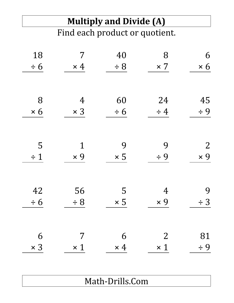# **Multiply and Divide (A)**

Find each product or quotient.

| 18         | 7              | 40         | 8              | 6              |
|------------|----------------|------------|----------------|----------------|
| $\div 6$   | $\times$ 4     | $\div$ 8   | $\times 7$     | $\times 6$     |
|            |                |            |                |                |
| 8          | $\overline{4}$ | 60         | 24             | 45             |
| $\times 6$ | $\times$ 3     | $\div 6$   | $\div$ 4       | $\div$ 9       |
|            |                |            |                |                |
| 5          | $\mathbf 1$    | 9          | 9              | $\overline{2}$ |
| $\div$ 1   | $\times 9$     | $\times 5$ | $\div$ 9       | $\times 9$     |
|            |                |            |                |                |
| 42         | 56             | 5          | 4              | 9              |
| $\div 6$   | $\div$ 8       | $\times 5$ | $\times 9$     | $\div$ 3       |
|            |                |            |                |                |
| 6          | 7              | 6          | $\overline{2}$ | 81             |
| $\times$ 3 | $\times$ 1     | $\times$ 4 | $\times$ 1     | $\div$ 9       |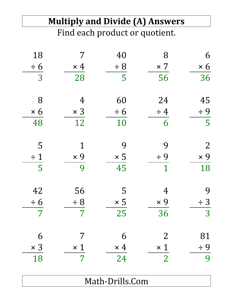| <b>Multiply and Divide (A) Answers</b><br>Find each product or quotient. |            |            |                |                |
|--------------------------------------------------------------------------|------------|------------|----------------|----------------|
|                                                                          |            |            |                |                |
| $\div 6$                                                                 | $\times$ 4 | $\div 8$   | $\times$ 7     | $\times 6$     |
| $\overline{3}$                                                           | 28         | 5          | 56             | 36             |
| 8                                                                        | 4          | 60         | 24             | 45             |
| $\times 6$                                                               | $\times$ 3 | $\div 6$   | $\div$ 4       | $\div$ 9       |
| 48                                                                       | 12         | 10         | 6              | 5              |
| 5                                                                        |            | 9          | 9              | $\overline{2}$ |
| $\div$ 1                                                                 | $\times$ 9 | $\times 5$ | $\div$ 9       | $\times$ 9     |
| 5                                                                        | 9          | 45         | 1              | 18             |
| 42                                                                       | 56         | 5          | $\overline{4}$ | 9              |
| $\div 6$                                                                 | $\div 8$   | $\times$ 5 | $\times 9$     | $\div$ 3       |
| 7                                                                        | 7          | 25         | 36             | 3              |
| 6                                                                        |            | 6          | $\overline{2}$ | 81             |
| $\times$ 3                                                               | $\times$ 1 | $\times$ 4 | $\times$ 1     | $\div$ 9       |
| 18                                                                       | 7          | 24         | $\overline{2}$ | 9              |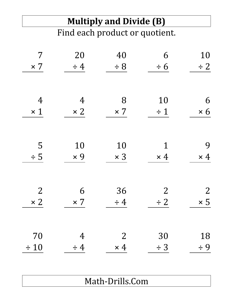### **Multiply and Divide (B)**

Find each product or quotient.

| 7              | 20             | 40             | 6              | 10             |
|----------------|----------------|----------------|----------------|----------------|
| $\times 7$     | $\div$ 4       | $\div$ 8       | $\div 6$       | $\div$ 2       |
|                |                |                |                |                |
| $\overline{4}$ | $\overline{4}$ | 8              | 10             | 6              |
| $\times$ 1     | $\times 2$     | $\times 7$     | $\div$ 1       | $\times 6$     |
|                |                |                |                |                |
| 5              | 10             | 10             | $\mathbf 1$    | 9              |
| $\div$ 5       | $\times 9$     | $\times$ 3     | $\times$ 4     | $\times$ 4     |
|                |                |                |                |                |
| $\overline{2}$ | 6              | 36             | $\overline{2}$ | $\overline{2}$ |
| $\times 2$     | $\times 7$     | $\div$ 4       | $\div$ 2       | $\times$ 5     |
|                |                |                |                |                |
| 70             | $\overline{4}$ | $\overline{2}$ | 30             | 18             |
| $\div$ 10      | $\div$ 4       | $\times$ 4     | $\div$ 3       | $\div$ 9       |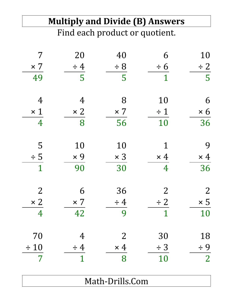### **Multiply and Divide (B) Answers**

Find each product or quotient.

| 7              | 20             | 40             | 6              | 10             |
|----------------|----------------|----------------|----------------|----------------|
| $\times$ 7     | $\div$ 4       | $\div$ 8       | $\div 6$       | $\div$ 2       |
| 49             | 5              | 5              | $\mathbf{1}$   | 5              |
|                |                |                |                |                |
| $\overline{4}$ | $\overline{4}$ | 8              | 10             | 6              |
| $\times$ 1     | $\times 2$     | $\times$ 7     | $\div$ 1       | $\times 6$     |
| $\overline{4}$ | 8              | 56             | 10             | 36             |
|                |                |                |                |                |
| 5              | 10             | 10             | 1              | 9              |
| $\div$ 5       | $\times 9$     | $\times$ 3     | $\times$ 4     | $\times$ 4     |
| $\mathbf{1}$   | 90             | 30             | $\overline{4}$ | 36             |
|                |                |                |                |                |
| $\overline{2}$ | 6              | 36             | $\overline{2}$ | $\overline{2}$ |
| $\times 2$     | $\times$ 7     | $\div$ 4       | $\div$ 2       | $\times 5$     |
| $\overline{4}$ | 42             | 9              | $\mathbf{1}$   | 10             |
|                |                |                |                |                |
| 70             | $\overline{4}$ | $\overline{2}$ | 30             | 18             |
| $\div$ 10      | $\div$ 4       | $\times$ 4     | $\div$ 3       | $\div$ 9       |
| 7              | 1              | 8              | 10             | $\overline{2}$ |
|                |                |                |                |                |
|                |                |                |                |                |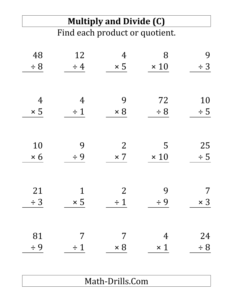#### **Multiply and Divide (C)** Find each product or quotient.

| 48             | 12             | $\overline{4}$ | 8              | 9          |
|----------------|----------------|----------------|----------------|------------|
| $\div$ 8       | $\div$ 4       | $\times$ 5     | $\times$ 10    | $\div$ 3   |
|                |                |                |                |            |
| $\overline{4}$ | $\overline{4}$ | 9              | 72             | 10         |
| $\times$ 5     | $\div$ 1       | $\times 8$     | $\div$ 8       | $\div$ 5   |
|                |                |                |                |            |
|                |                |                |                |            |
| 10             | 9              | $\overline{2}$ | 5              | 25         |
| $\times 6$     | $\div$ 9       | $\times 7$     | $\times$ 10    | $\div$ 5   |
|                |                |                |                |            |
| 21             | 1              | $\overline{2}$ | 9              | 7          |
| $\div$ 3       | $\times 5$     | $\div$ 1       | $\div$ 9       | $\times$ 3 |
|                |                |                |                |            |
|                |                |                |                |            |
| 81             | 7              | 7              | $\overline{4}$ | 24         |
| $\div$ 9       | $\div$ 1       | $\times 8$     | $\times 1$     | $\div 8$   |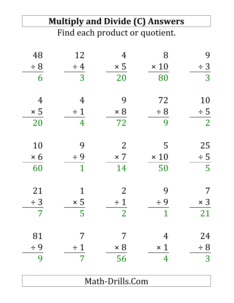### **Multiply and Divide (C) Answers**

Find each product or quotient.

| 48             | 12             | 4              | 8              | 9              |
|----------------|----------------|----------------|----------------|----------------|
| $\div$ 8       | $\div$ 4       | $\times 5$     | $\times$ 10    | $\div$ 3       |
| 6              | 3              | 20             | 80             | 3              |
|                |                |                |                |                |
| $\overline{4}$ | 4              | 9              | 72             | 10             |
| $\times$ 5     | $\div$ 1       | $\times 8$     | $\div$ 8       | $\div$ 5       |
| 20             | $\overline{4}$ | 72             | 9              | $\overline{2}$ |
|                |                |                |                |                |
| 10             | 9              | $\overline{2}$ | 5              | 25             |
| $\times 6$     | $\div$ 9       | $\times$ 7     | $\times$ 10    | $\div$ 5       |
| 60             | $\mathbf{1}$   | 14             | 50             | 5              |
|                |                |                |                |                |
| 21             | 1              | $\overline{2}$ | 9              | 7              |
| $\div$ 3       | $\times 5$     | $\div$ 1       | $\div$ 9       | $\times$ 3     |
| 7              | 5              | $\overline{2}$ | 1              | 21             |
|                |                |                |                |                |
| 81             |                |                | 4              | 24             |
| $\div$ 9       | $\div$ 1       | $\times 8$     | $\times$ 1     | $\div 8$       |
| 9              | 7              | 56             | $\overline{4}$ | 3              |
|                |                |                |                |                |
|                |                |                |                |                |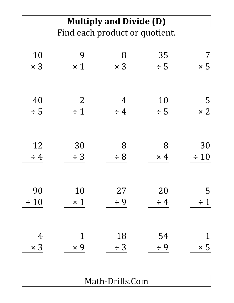#### **Multiply and Divide (D)** Find each product or quotient.

| 10             | 9              | 8              | 35         | 7          |
|----------------|----------------|----------------|------------|------------|
| $\times$ 3     | $\times$ 1     | $\times$ 3     | $\div$ 5   | $\times 5$ |
|                |                |                |            |            |
| 40             | $\overline{2}$ | $\overline{4}$ | 10         | 5          |
| $\div$ 5       | $\div$ 1       | $\div$ 4       | $\div$ 5   | $\times 2$ |
|                |                |                |            |            |
| 12             | 30             | 8              | 8          | 30         |
| $\div$ 4       | $\div$ 3       | $\div$ 8       | $\times$ 4 | $\div$ 10  |
|                |                |                |            |            |
| 90             | 10             | 27             | 20         | 5          |
| $\div 10$      | $\times$ 1     | $\div$ 9       | $\div$ 4   | $\div$ 1   |
|                |                |                |            |            |
|                |                | 18             | 54         |            |
| $\overline{4}$ | $\mathbf 1$    |                |            | 1          |
| $\times$ 3     | $\times 9$     | $\div$ 3       | $\div$ 9   | $\times 5$ |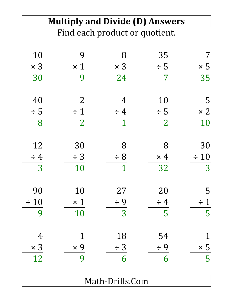|                | <b>Multiply and Divide (D) Answers</b> |                                |                |             |
|----------------|----------------------------------------|--------------------------------|----------------|-------------|
|                |                                        | Find each product or quotient. |                |             |
| 10             | 9                                      | 8                              | 35             | 7           |
| $\times$ 3     | $\times$ 1                             | $\times$ 3                     | $\div$ 5       | $\times 5$  |
| 30             | 9                                      | 24                             | 7              | 35          |
| 40             | $\overline{2}$                         | 4                              | 10             | 5           |
| $\div$ 5       | $\div$ 1                               | $\div$ 4                       | $\div$ 5       | $\times 2$  |
| 8              | $\overline{2}$                         | 1                              | $\overline{2}$ | 10          |
| 12             | 30                                     | 8                              | 8              | 30          |
| $\div$ 4       | $\div$ 3                               | $\div 8$                       | $\times$ 4     | $\div 10$   |
| $\overline{3}$ | 10                                     | 1                              | 32             | 3           |
| 90             | 10                                     | 27                             | 20             | 5           |
| $\div$ 10      | $\times$ 1                             | $\div$ 9                       | $\div$ 4       | $\div$ 1    |
| 9              | 10                                     | 3                              | 5              | 5           |
| $\overline{4}$ |                                        | 18                             | 54             | $\mathbf 1$ |
| $\times$ 3     | $\times 9$                             | $\div$ 3                       | $\div$ 9       | $\times 5$  |
| 12             | 9                                      | 6                              | 6              | 5           |
|                |                                        |                                |                |             |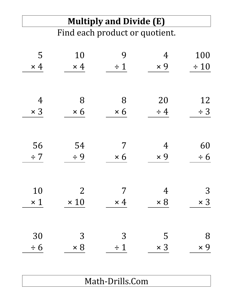# **Multiply and Divide (E)**

Find each product or quotient.

| 5              | 10             | 9          | 4              | 100        |
|----------------|----------------|------------|----------------|------------|
| $\times$ 4     | $\times$ 4     | $\div$ 1   | $\times 9$     | $\div$ 10  |
|                |                |            |                |            |
| $\overline{4}$ | 8              | 8          | 20             | 12         |
| $\times$ 3     | $\times 6$     | $\times 6$ | $\div$ 4       | $\div$ 3   |
|                |                |            |                |            |
|                |                |            |                |            |
| 56             | 54             | 7          | $\overline{4}$ | 60         |
| $\div$ 7       | $\div$ 9       | $\times 6$ | $\times 9$     | $\div 6$   |
|                |                |            |                |            |
| 10             | $\overline{2}$ | 7          | $\overline{4}$ | 3          |
|                |                |            |                |            |
| $\times$ 1     | $\times$ 10    | $\times$ 4 | $\times 8$     | $\times$ 3 |
|                |                |            |                |            |
| 30             | 3              | 3          | 5              | 8          |
| $\div 6$       | $\times 8$     | $\div$ 1   | $\times$ 3     | $\times 9$ |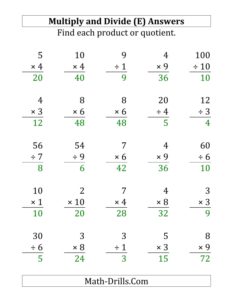|                | <b>Multiply and Divide (E) Answers</b><br>Find each product or quotient. |            |            |                |  |
|----------------|--------------------------------------------------------------------------|------------|------------|----------------|--|
|                |                                                                          |            |            |                |  |
| 5              | 10                                                                       | 9          | 4          | 100            |  |
| $\times$ 4     | $\times$ 4                                                               | $\div$ 1   | $\times 9$ | $\div 10$      |  |
| 20             | 40                                                                       | 9          | 36         | 10             |  |
| $\overline{4}$ | 8                                                                        | 8          | 20         | 12             |  |
| $\times$ 3     | $\times 6$                                                               | $\times 6$ | $\div$ 4   | $\div$ 3       |  |
| 12             | 48                                                                       | 48         | 5          | $\overline{4}$ |  |
| 56             | 54                                                                       | 7          | 4          | 60             |  |
| $\div$ 7       | $\div$ 9                                                                 | $\times 6$ | $\times$ 9 | $\div 6$       |  |
| 8              | 6                                                                        | 42         | 36         | 10             |  |
| 10             | $\overline{2}$                                                           |            | 4          | 3              |  |
| $\times$ 1     | $\times$ 10                                                              | $\times$ 4 | $\times 8$ | $\times$ 3     |  |
| 10             | 20                                                                       | 28         | 32         | 9              |  |
| 30             | 3                                                                        | 3          | 5          | 8              |  |
| $\div 6$       | $\times 8$                                                               | $\div$ 1   | $\times$ 3 | $\times 9$     |  |
| 5              | 24                                                                       | 3          | 15         | 72             |  |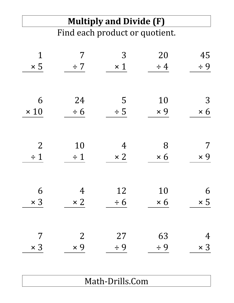#### **Multiply and Divide (F)** Find each product or quotient.

| $\mathbf 1$    | 7              | 3              | 20         | 45         |
|----------------|----------------|----------------|------------|------------|
| $\times 5$     | $\div 7$       | $\times$ 1     | $\div$ 4   | $\div$ 9   |
|                |                |                |            |            |
| 6              | 24             | 5              | 10         | 3          |
| $\times$ 10    | $\div 6$       | $\div$ 5       | $\times 9$ | $\times 6$ |
|                |                |                |            |            |
| $\overline{2}$ | 10             | $\overline{4}$ | 8          | 7          |
| $\div$ 1       | $\div$ 1       | $\times 2$     | $\times 6$ | $\times 9$ |
|                |                |                |            |            |
| 6              | $\overline{4}$ | 12             | 10         | 6          |
| $\times$ 3     | $\times 2$     | $\div 6$       | $\times 6$ | $\times$ 5 |
|                |                |                |            |            |
| 7              | $\overline{2}$ | 27             | 63         | 4          |
| $\times$ 3     | $\times 9$     | $\div$ 9       | $\div$ 9   | $\times$ 3 |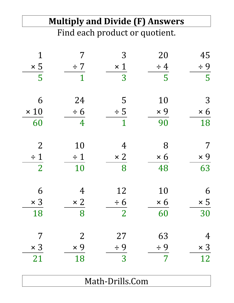# **Multiply and Divide (F) Answers** Find each product or quotient. 1 7 3 20 45  $\times 5$   $\div 7$   $\times 1$   $\div 4$   $\div 9$ 5 1 3 5 5 6 24 5 10 3  $\times 10 \rightarrow 6 \rightarrow 5 \times 9 \times 6$ 60 4 1 90 18 2 10 4 8 7  $\div 1$   $\div 1$   $\times 2$   $\times 6$   $\times 9$ 2 10 8 48 63 6 4 12 10 6  $\times 3 \times 2 \div 6 \times 6 \times 5$

18 8 2 60 30

7 2 27 63 4

 $\times 3 \times 9 \div 9 \div 9 \times 3$ 

21 18 3 7 12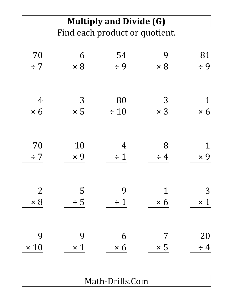# **Multiply and Divide (G)**

Find each product or quotient.

| 70             | 6          | 54             | 9           | 81          |
|----------------|------------|----------------|-------------|-------------|
| $\div$ 7       | $\times 8$ | $\div$ 9       | $\times 8$  | $\div$ 9    |
|                |            |                |             |             |
| $\overline{4}$ | 3          | 80             | 3           | $\mathbf 1$ |
| $\times 6$     | $\times$ 5 | $\div$ 10      | $\times$ 3  | $\times 6$  |
|                |            |                |             |             |
| 70             | 10         | $\overline{4}$ | 8           | $\mathbf 1$ |
| $\div$ 7       | $\times 9$ | $\div$ 1       | $\div$ 4    | $\times 9$  |
|                |            |                |             |             |
| $\overline{2}$ | 5          | 9              | $\mathbf 1$ | 3           |
| $\times 8$     | $\div$ 5   | $\div$ 1       | $\times 6$  | $\times$ 1  |
|                |            |                |             |             |
| 9              | 9          | 6              | 7           | 20          |
| $\times$ 10    | $\times 1$ | $\times 6$     | $\times 5$  | $\div$ 4    |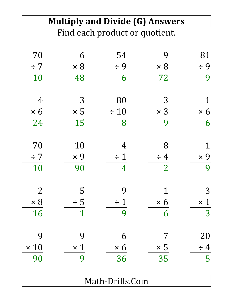|                |            | <b>Multiply and Divide (G) Answers</b> |                |            |
|----------------|------------|----------------------------------------|----------------|------------|
|                |            | Find each product or quotient.         |                |            |
| 70             | 6          | 54                                     | 9              | 81         |
| $\div$ 7       | $\times 8$ | $\div$ 9                               | $\times 8$     | $\div$ 9   |
| 10             | 48         | 6                                      | 72             | 9          |
| 4              | 3          | 80                                     | 3              |            |
| $\times 6$     | $\times 5$ | $\div$ 10                              | $\times$ 3     | $\times 6$ |
| 24             | 15         | 8                                      | 9              | 6          |
| 70             | 10         | 4                                      | 8              |            |
| $\div$ 7       | $\times$ 9 | $\div$ 1                               | $\div$ 4       | $\times 9$ |
| 10             | 90         | 4                                      | $\overline{2}$ | 9          |
| $\overline{2}$ | 5          | 9                                      |                | 3          |
| $\times 8$     | $\div$ 5   | $\div$ 1                               | $\times 6$     | $\times$ 1 |
| 16             |            | 9                                      | 6              | 3          |
| 9              | 9          | 6                                      |                | 20         |
| $\times$ 10    | $\times$ 1 | $\times 6$                             | $\times 5$     | $\div$ 4   |
| 90             | 9          | 36                                     | 35             | 5          |
|                |            | Math-Drills.Com                        |                |            |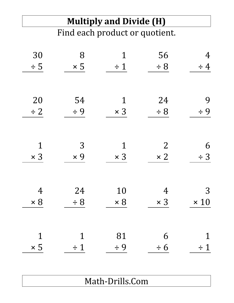### **Multiply and Divide (H)**

Find each product or quotient.

| 30             | 8           | 1           | 56             | 4           |
|----------------|-------------|-------------|----------------|-------------|
| $\div$ 5       | $\times 5$  | $\div$ 1    | $\div$ 8       | $\div$ 4    |
|                |             |             |                |             |
| 20             | 54          | $\mathbf 1$ | 24             | 9           |
| $\div$ 2       | $\div$ 9    | $\times$ 3  | $\div$ 8       | $\div$ 9    |
|                |             |             |                |             |
|                |             |             |                |             |
| $\mathbf 1$    | 3           | 1           | $\overline{2}$ | 6           |
| $\times$ 3     | $\times 9$  | $\times$ 3  | $\times 2$     | $\div$ 3    |
|                |             |             |                |             |
| $\overline{4}$ | 24          | 10          | 4              | 3           |
| $\times 8$     | $\div$ 8    | $\times 8$  | $\times$ 3     | $\times$ 10 |
|                |             |             |                |             |
|                |             |             |                |             |
| $\mathbf 1$    | $\mathbf 1$ | 81          | 6              | 1           |
| $\times$ 5     | $\div$ 1    | $\div$ 9    | $\div 6$       | $\div$ 1    |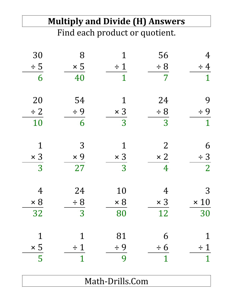|            | <b>Multiply and Divide (H) Answers</b> |                                |            |                          |
|------------|----------------------------------------|--------------------------------|------------|--------------------------|
|            |                                        | Find each product or quotient. |            |                          |
| 30         | 8                                      |                                | 56         | 4                        |
| $\div$ 5   | $\times 5$                             | $\div$ 1                       | $\div$ 8   | $\overline{4}$<br>$\div$ |
| 6          | 40                                     |                                | 7          | $\mathbf 1$              |
| 20         | 54                                     | 1                              | 24         | 9                        |
| $\div$ 2   | $\div$ 9                               | $\times$ 3                     | $\div 8$   | $\div$ 9                 |
| 10         | 6                                      | 3                              | 3          | $\mathbf 1$              |
| 1          | 3                                      |                                | 2          | 6                        |
| $\times$ 3 | $\times$ 9                             | $\times$ 3                     | $\times 2$ | $\div$ 3                 |
| 3          | 27                                     | 3                              |            | $\overline{2}$           |
| 4          | 24                                     | 10                             | 4          | 3                        |
| $\times 8$ | $\div 8$                               | $\times 8$                     | $\times$ 3 | $\times$ 10              |
| 32         | 3                                      | 80                             | 12         | 30                       |
|            |                                        | 81                             | 6          |                          |
| $\times$ 5 | $\div$ 1                               | $\div$ 9                       | $\div 6$   | $\div$ 1                 |
| 5          |                                        | 9                              | 1          | 1                        |
|            |                                        | Math-Drills.Com                |            |                          |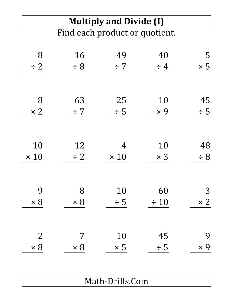## **Multiply and Divide (I)**

Find each product or quotient.

| 8              | 16         | 49             | 40         | 5          |
|----------------|------------|----------------|------------|------------|
| $\div$ 2       | $\div$ 8   | $\div$ 7       | $\div$ 4   | $\times 5$ |
|                |            |                |            |            |
| 8              | 63         | 25             | 10         | 45         |
| $\times 2$     | $\div$ 7   | $\div$ 5       | $\times$ 9 | $\div$ 5   |
|                |            |                |            |            |
| 10             | 12         | $\overline{4}$ | 10         | 48         |
| $\times$ 10    | $\div$ 2   | $\times$ 10    | $\times$ 3 | $\div$ 8   |
|                |            |                |            |            |
| 9              | 8          | 10             | 60         | 3          |
| $\times 8$     | $\times 8$ | $\div$ 5       | $\div 10$  | $\times 2$ |
|                |            |                |            |            |
| $\overline{2}$ | 7          | 10             | 45         | 9          |
| $\times 8$     | $\times 8$ | $\times 5$     | $\div$ 5   | $\times$ 9 |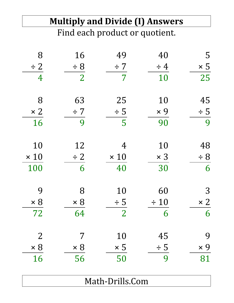### **Multiply and Divide (I) Answers**

Find each product or quotient.

| 8              | 16             | 49              | 40         | 5          |
|----------------|----------------|-----------------|------------|------------|
| $\div$ 2       | $\div$ 8       | $\div$ 7        | $\div$ 4   | $\times$ 5 |
| $\overline{4}$ | $\overline{2}$ | $\overline{7}$  | 10         | 25         |
|                |                |                 |            |            |
| 8              | 63             | 25              | 10         | 45         |
| $\times 2$     | $\div$ 7       | $\div$ 5        | $\times 9$ | $\div$ 5   |
| 16             | 9              | 5               | 90         | 9          |
|                |                |                 |            |            |
| 10             | 12             | $\overline{4}$  | 10         | 48         |
| $\times$ 10    | $\div$ 2       | $\times$ 10     | $\times$ 3 | $\div$ 8   |
| 100            | 6              | 40              | 30         | 6          |
|                |                |                 |            |            |
| 9              | 8              | 10              | 60         | 3          |
| $\times 8$     | $\times 8$     | $\div$ 5        | $\div$ 10  | $\times 2$ |
| 72             | 64             | $\overline{2}$  | 6          | 6          |
|                |                |                 |            |            |
| $\overline{2}$ | 7              | 10              | 45         | 9          |
| $\times 8$     | $\times 8$     | $\times 5$      | $\div$ 5   | $\times$ 9 |
| 16             | 56             | 50              | 9          | 81         |
|                |                |                 |            |            |
|                |                | Math-Drills.Com |            |            |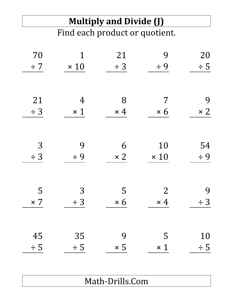### **Multiply and Divide (J)** Find each product or quotient.

| 70         | 1           | 21         | 9              | 20         |
|------------|-------------|------------|----------------|------------|
| $\div$ 7   | $\times$ 10 | $\div$ 3   | $\div$ 9       | $\div$ 5   |
|            |             |            |                |            |
| 21         | 4           | 8          | 7              | 9          |
| $\div$ 3   | $\times$ 1  | $\times$ 4 | $\times 6$     | $\times 2$ |
|            |             |            |                |            |
| 3          | 9           | 6          | 10             | 54         |
| $\div$ 3   | $\div$ 9    | $\times 2$ | $\times$ 10    | $\div$ 9   |
|            |             |            |                |            |
| 5          | 3           | 5          | $\overline{2}$ | 9          |
| $\times 7$ | $\div$ 3    | $\times 6$ | $\times$ 4     | $\div$ 3   |
|            |             |            |                |            |
| 45         | 35          | 9          | 5              | 10         |
| $\div$ 5   | $\div$ 5    | $\times 5$ | $\times$ 1     | $\div$ 5   |